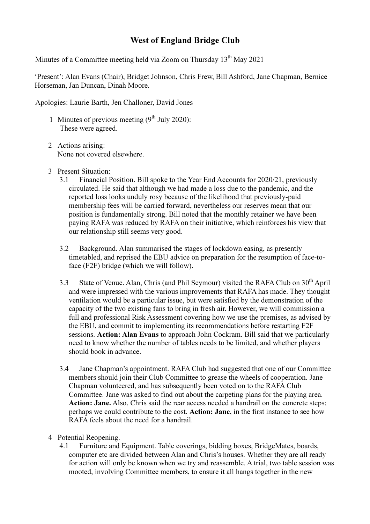## West of England Bridge Club

Minutes of a Committee meeting held via Zoom on Thursday  $13<sup>th</sup>$  May 2021

'Present': Alan Evans (Chair), Bridget Johnson, Chris Frew, Bill Ashford, Jane Chapman, Bernice Horseman, Jan Duncan, Dinah Moore.

Apologies: Laurie Barth, Jen Challoner, David Jones

- 1 Minutes of previous meeting  $(9<sup>th</sup>$  July 2020): These were agreed.
- 2 Actions arising: None not covered elsewhere.
- 3 Present Situation:
	- 3.1 Financial Position. Bill spoke to the Year End Accounts for 2020/21, previously circulated. He said that although we had made a loss due to the pandemic, and the reported loss looks unduly rosy because of the likelihood that previously-paid membership fees will be carried forward, nevertheless our reserves mean that our position is fundamentally strong. Bill noted that the monthly retainer we have been paying RAFA was reduced by RAFA on their initiative, which reinforces his view that our relationship still seems very good.
	- 3.2 Background. Alan summarised the stages of lockdown easing, as presently timetabled, and reprised the EBU advice on preparation for the resumption of face-toface (F2F) bridge (which we will follow).
	- 3.3 State of Venue. Alan, Chris (and Phil Seymour) visited the RAFA Club on 30<sup>th</sup> April and were impressed with the various improvements that RAFA has made. They thought ventilation would be a particular issue, but were satisfied by the demonstration of the capacity of the two existing fans to bring in fresh air. However, we will commission a full and professional Risk Assessment covering how we use the premises, as advised by the EBU, and commit to implementing its recommendations before restarting F2F sessions. Action: Alan Evans to approach John Cockram. Bill said that we particularly need to know whether the number of tables needs to be limited, and whether players should book in advance.
	- 3.4 Jane Chapman's appointment. RAFA Club had suggested that one of our Committee members should join their Club Committee to grease the wheels of cooperation. Jane Chapman volunteered, and has subsequently been voted on to the RAFA Club Committee. Jane was asked to find out about the carpeting plans for the playing area. Action: Jane. Also, Chris said the rear access needed a handrail on the concrete steps; perhaps we could contribute to the cost. Action: Jane, in the first instance to see how RAFA feels about the need for a handrail.
- 4 Potential Reopening.
	- 4.1 Furniture and Equipment. Table coverings, bidding boxes, BridgeMates, boards, computer etc are divided between Alan and Chris's houses. Whether they are all ready for action will only be known when we try and reassemble. A trial, two table session was mooted, involving Committee members, to ensure it all hangs together in the new